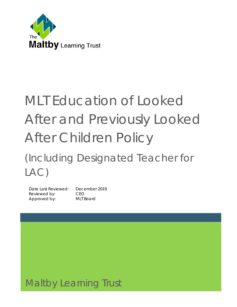

# MLT Education of Looked After and Previously Looked After Children Policy

## (Including Designated Teacher for LAC)

Date Last Reviewed: December 2019 Reviewed by: CEO Approved by: MLT Board

### Maltby Learning Trust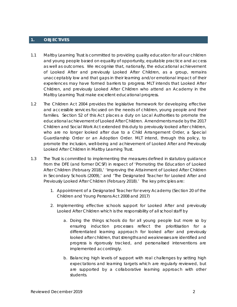#### **1. OBJECTIVES**

- 1.1 Maltby Learning Trust is committed to providing quality education for all our children and young people based on equality of opportunity, equitable practice and access as well as outcomes. We recognise that, nationally, the educational achievement of Looked After and previously Looked After Children, as a group, remains unacceptably low and that gaps in their learning and/or emotional impact of their experiences may have formed barriers to progress. MLT intends that Looked After Children, and previously Looked After Children who attend an Academy in the Maltby Learning Trust make excellent educational progress.
- 1.2 The Children Act 2004 provides the legislative framework for developing effective and accessible services focused on the needs of children, young people and their families. Section 52 of this Act places a duty on Local Authorities to promote the educational achievement of Looked After Children. Amendments made by the 2017 Children and Social Work Act extended this duty to previously looked after children, who are no longer looked after due to a Child Arrangement Order, a Special Guardianship Order or an Adoption Order. MLT intend, through this policy, to promote the inclusion, well-being and achievement of Looked After and Previously Looked After Children in Maltby Learning Trust.
- 1.3 The Trust is committed to implementing the measures defined in statutory guidance from the DFE (and former DCSF) in respect of 'Promoting the Education of Looked After Children (February 2018),' 'Improving the Attainment of Looked After Children in Secondary Schools (2009),' and 'The Designated Teacher for Looked After and Previously Looked After Children (February 2018).' The key principles are:
	- 1. Appointment of a Designated Teacher for every Academy (Section 20 of the Children and Young Persons Act 2008 and 2017)
	- 2. Implementing effective schools support for Looked After and previously Looked After Children which is the responsibility of all school staff by
		- a. Doing the things schools do for all young people but more so by ensuring induction processes reflect the prioritisation for a differentiated learning approach for looked after and previously looked after children, that strengths and weaknesses are identified and progress is rigorously tracked, and personalised interventions are implemented accordingly.
		- b. Balancing high levels of support with real challenges by setting high expectations and learning targets which are regularly reviewed, but are supported by a collaborative learning approach with other students.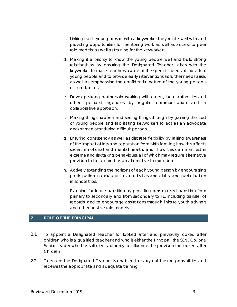- c. Linking each young person with a keyworker they relate well with and providing opportunities for mentoring work as well as access to peer role models, as well as training for the keyworker
- d. Making it a priority to know the young people well and build strong relationships by ensuring the Designated Teacher liaises with the keyworker to make teachers aware of the specific needs of individual young people and to provide early interventions as further needs arise, as well as emphasising the confidential nature of the young person's circumstances
- e. Develop strong partnership working with carers, local authorities and other specialist agencies by regular communication and a collaborative approach.
- f. Making things happen and seeing things through by gaining the trust of young people and facilitating keyworkers to act as an advocate and/or mediator during difficult periods
- g. Ensuring consistency as well as discrete flexibility by raising awareness of the impact of loss and separation from birth families; how this affects social, emotional and mental health, and how this can manifest in extreme and risk taking behaviours, all of which may require alternative provision to be secured as an alternative to exclusion
- h. Actively extending the horizons of each young person by encouraging participation in extra-curricular activities and clubs, and participation in school trips.
- i. Planning for future transition by providing personalised transition from primary to secondary and from secondary to FE, including transfer of records, and to encourage aspirations through links to youth advisors and other positive role models

#### **2. ROLE OF THE PRINCIPAL**

- 2.1 To appoint a Designated Teacher for looked after and previously looked after children who is a qualified teacher and who is either the Principal, the SENDCo, or a Senior Leader who has sufficient authority to influence the provision for Looked after Children
- 2.2 To ensure the Designated Teacher is enabled to carry out their responsibilities and receives the appropriate and adequate training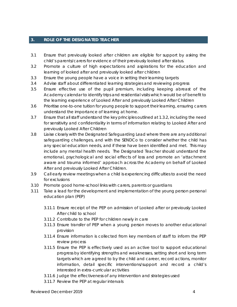#### **3. ROLE OF THE DESIGNATED TEACHER**

- 3.1 Ensure that previously looked after children are eligible for support by asking the child's parents/carers for evidence of their previously looked after status.
- 3.2 Promote a culture of high expectations and aspirations for the education and learning of looked after and previously looked after children
- 3.3 Ensure the young people have a voice in setting their learning targets
- 3.4 Advise staff about differentiated learning strategies and reviewing progress
- 3.5 Ensure effective use of the pupil premium, including keeping abreast of the Academy calendar to identify trips and residential visits which would be of benefit to the learning experience of Looked After and previously Looked After Children
- 3.6 Prioritise one-to-one tuition for young people to support their learning, ensuring carers understand the importance of learning at home.
- 3.7 Ensure that all staff understand the key principles outlined at 1.3.2, including the need for sensitivity and confidentiality in terms of information relating to Looked After and previously Looked After Children
- 3.8 Liaise closely with the Designated Safeguarding Lead where there are any additional safeguarding challenges, and with the SENDCo to consider whether the child has any special education needs, and if these have been identified and met. This may include any mental health needs. The Designated Teacher should understand the emotional, psychological and social effects of loss and promote an 'attachment aware and trauma informed' approach across the Academy on behalf of Looked After and previously Looked After Children.
- 3.9 Call early review meetings when a child is experiencing difficulties to avoid the need for exclusions
- 3.10 Promote good home-school links with carers, parents or guardians
- 3.11 Take a lead for the development and implementation of the young person personal education plan (PEP)
	- 3.11.1 Ensure receipt of the PEP on admission of Looked after or previously Looked After child to school
	- 3.11.2 Contribute to the PEP for children newly in care
	- 3.11.3 Ensure transfer of PEP when a young person moves to another educational provision
	- 3.11.4 Ensure information is collected from key members of staff to inform the PEP review process
	- 3.11.5 Ensure the PEP is effectively used as an active tool to support educational progress by identifying strengths and weaknesses, setting short and long term targets which are agreed to by the child and career, record actions, monitor information, detail specific interventions/support and record a child's interested in extra-curricular activities
	- 3.11.6 Judge the effectiveness of any intervention and strategies used
	- 3.11.7 Review the PEP at regular intervals